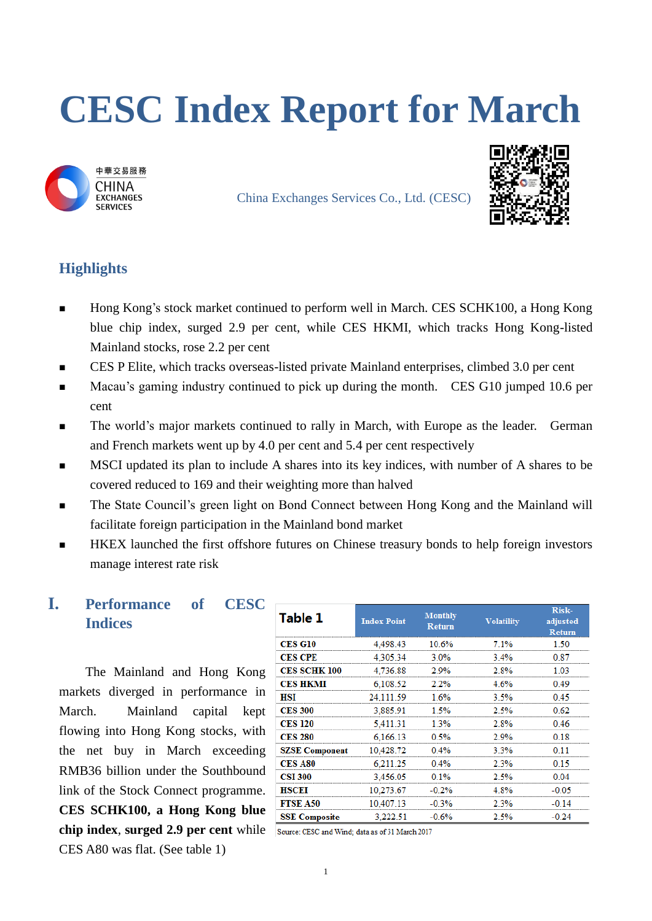# **CESC Index Report for March**



China Exchanges Services Co., Ltd. (CESC)



## **Highlights**

- Hong Kong's stock market continued to perform well in March. CES SCHK100, a Hong Kong blue chip index, surged 2.9 per cent, while CES HKMI, which tracks Hong Kong-listed Mainland stocks, rose 2.2 per cent
- CES P Elite, which tracks overseas-listed private Mainland enterprises, climbed 3.0 per cent
- **Macau's gaming industry continued to pick up during the month.** CES G10 jumped 10.6 per cent
- **The world's major markets continued to rally in March, with Europe as the leader.** German and French markets went up by 4.0 per cent and 5.4 per cent respectively
- **MSCI** updated its plan to include A shares into its key indices, with number of A shares to be covered reduced to 169 and their weighting more than halved
- **The State Council's green light on Bond Connect between Hong Kong and the Mainland will** facilitate foreign participation in the Mainland bond market
- HKEX launched the first offshore futures on Chinese treasury bonds to help foreign investors manage interest rate risk

## **I. Performance of CESC Indices**

The Mainland and Hong Kong markets diverged in performance in March. Mainland capital kept flowing into Hong Kong stocks, with the net buy in March exceeding RMB36 billion under the Southbound link of the Stock Connect programme. **CES SCHK100, a Hong Kong blue chip index**, **surged 2.9 per cent** while CES A80 was flat. (See table 1)

| <b>Table 1</b>        | <b>Index Point</b> | <b>Monthly</b><br><b>Return</b> | <b>Volatility</b> | Risk-<br>adjusted<br><b>Return</b> |
|-----------------------|--------------------|---------------------------------|-------------------|------------------------------------|
| <b>CES G10</b>        | 4.498.43           | 10.6%                           | 7.1%              | 1.50                               |
| <b>CES CPE</b>        | 4,305.34           | 3.0%                            | 3.4%              | 0.87                               |
| <b>CES SCHK 100</b>   | 4,736.88           | 2.9%                            | 2.8%              | 1.03                               |
| <b>CES HKMI</b>       | 6,108.52           | 2.2%                            | 4.6%              | 0 49                               |
| HSI                   | 24.111.59          | 1.6%                            | 3.5%              | 0 45                               |
| <b>CES 300</b>        | 3.885.91           | 1.5%                            | 2.5%              | 0.62                               |
| <b>CES 120</b>        | 5,411.31           | 1.3%                            | 2.8%              | 0.46                               |
| <b>CES 280</b>        | 6.166.13           | 0.5%                            | 2.9%              | 0.18                               |
| <b>SZSE Component</b> | 10,428.72          | 0.4%                            | 3.3%              |                                    |
| <b>CES A80</b>        | 6.211.25           | 0.4%                            | 2.3%              | 0 15                               |
| <b>CSI 300</b>        | 3,456.05           | 0.1%                            | 2.5%              | 0.04                               |
| HSCEI                 | 10,273.67          | $-0.2%$                         | 4.8%              | -0.05                              |
| <b>FTSE A50</b>       | 10.407.13          | $-0.3%$                         | 2.3%              | $-0.14$                            |
| <b>SSE Composite</b>  | 3.222.51           | $-0.6\%$                        | 2.5%              | $-0.24$                            |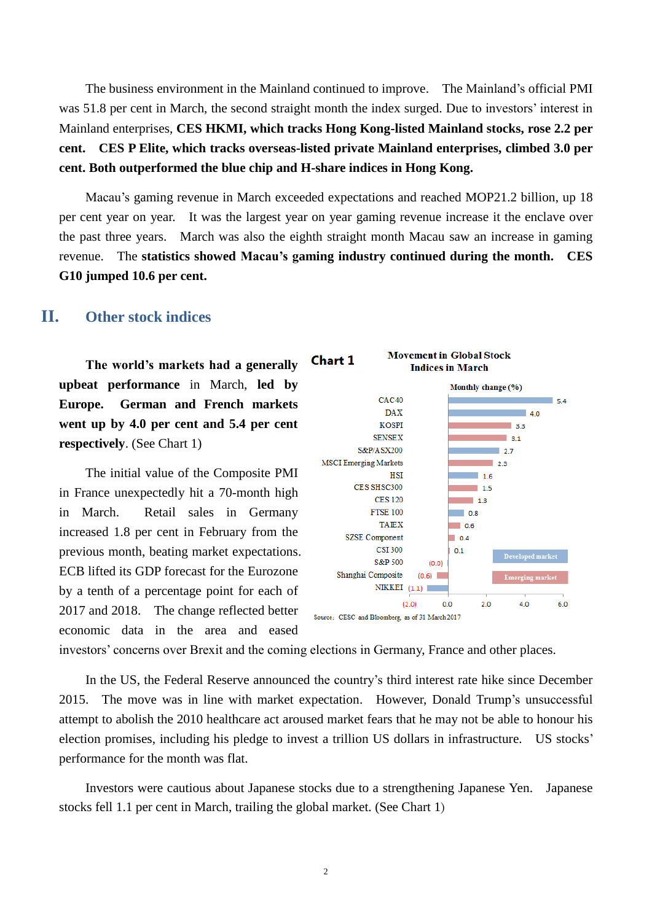The business environment in the Mainland continued to improve. The Mainland's official PMI was 51.8 per cent in March, the second straight month the index surged. Due to investors' interest in Mainland enterprises, **CES HKMI, which tracks Hong Kong-listed Mainland stocks, rose 2.2 per cent. CES P Elite, which tracks overseas-listed private Mainland enterprises, climbed 3.0 per cent. Both outperformed the blue chip and H-share indices in Hong Kong.**

Macau's gaming revenue in March exceeded expectations and reached MOP21.2 billion, up 18 per cent year on year. It was the largest year on year gaming revenue increase it the enclave over the past three years. March was also the eighth straight month Macau saw an increase in gaming revenue. The **statistics showed Macau's gaming industry continued during the month. CES G10 jumped 10.6 per cent.**

#### **II. Other stock indices**

**The world's markets had a generally upbeat performance** in March, **led by Europe. German and French markets went up by 4.0 per cent and 5.4 per cent respectively**. (See Chart 1)

The initial value of the Composite PMI in France unexpectedly hit a 70-month high in March. Retail sales in Germany increased 1.8 per cent in February from the previous month, beating market expectations. ECB lifted its GDP forecast for the Eurozone by a tenth of a percentage point for each of 2017 and 2018. The change reflected better economic data in the area and eased



investors' concerns over Brexit and the coming elections in Germany, France and other places.

In the US, the Federal Reserve announced the country's third interest rate hike since December 2015. The move was in line with market expectation. However, Donald Trump's unsuccessful attempt to abolish the 2010 healthcare act aroused market fears that he may not be able to honour his election promises, including his pledge to invest a trillion US dollars in infrastructure. US stocks' performance for the month was flat.

Investors were cautious about Japanese stocks due to a strengthening Japanese Yen. Japanese stocks fell 1.1 per cent in March, trailing the global market. (See Chart 1)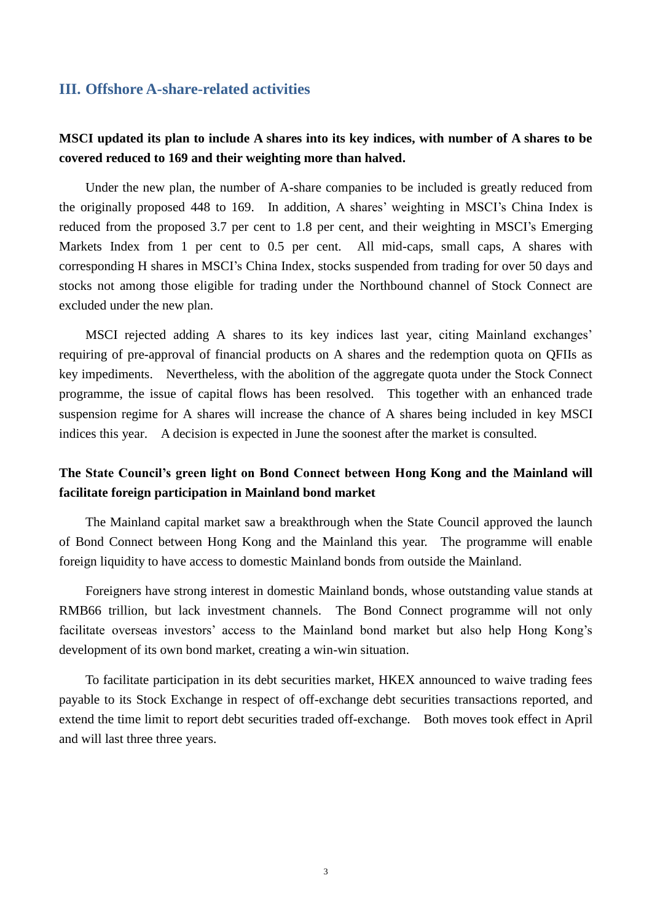#### **III. Offshore A-share-related activities**

#### **MSCI updated its plan to include A shares into its key indices, with number of A shares to be covered reduced to 169 and their weighting more than halved.**

Under the new plan, the number of A-share companies to be included is greatly reduced from the originally proposed 448 to 169. In addition, A shares' weighting in MSCI's China Index is reduced from the proposed 3.7 per cent to 1.8 per cent, and their weighting in MSCI's Emerging Markets Index from 1 per cent to 0.5 per cent. All mid-caps, small caps, A shares with corresponding H shares in MSCI's China Index, stocks suspended from trading for over 50 days and stocks not among those eligible for trading under the Northbound channel of Stock Connect are excluded under the new plan.

MSCI rejected adding A shares to its key indices last year, citing Mainland exchanges' requiring of pre-approval of financial products on A shares and the redemption quota on QFIIs as key impediments. Nevertheless, with the abolition of the aggregate quota under the Stock Connect programme, the issue of capital flows has been resolved. This together with an enhanced trade suspension regime for A shares will increase the chance of A shares being included in key MSCI indices this year. A decision is expected in June the soonest after the market is consulted.

#### **The State Council's green light on Bond Connect between Hong Kong and the Mainland will facilitate foreign participation in Mainland bond market**

The Mainland capital market saw a breakthrough when the State Council approved the launch of Bond Connect between Hong Kong and the Mainland this year. The programme will enable foreign liquidity to have access to domestic Mainland bonds from outside the Mainland.

Foreigners have strong interest in domestic Mainland bonds, whose outstanding value stands at RMB66 trillion, but lack investment channels. The Bond Connect programme will not only facilitate overseas investors' access to the Mainland bond market but also help Hong Kong's development of its own bond market, creating a win-win situation.

To facilitate participation in its debt securities market, HKEX announced to waive trading fees payable to its Stock Exchange in respect of off-exchange debt securities transactions reported, and extend the time limit to report debt securities traded off-exchange. Both moves took effect in April and will last three three years.